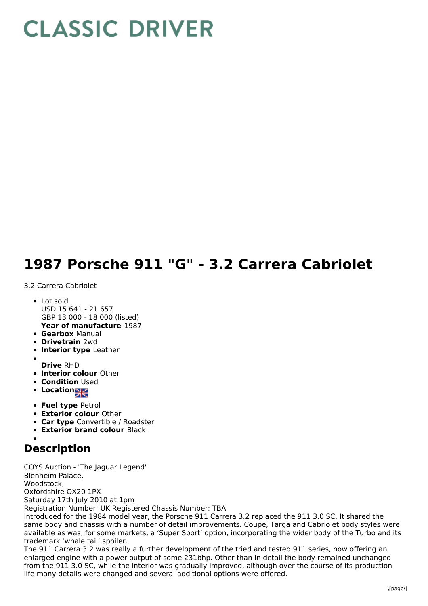## **CLASSIC DRIVER**

## **1987 Porsche 911 "G" - 3.2 Carrera Cabriolet**

## 3.2 Carrera Cabriolet

- **Year of manufacture** 1987 • Lot sold USD 15 641 - 21 657 GBP 13 000 - 18 000 (listed)
- 
- **Gearbox** Manual
- **Drivetrain** 2wd
- **Interior type** Leather
- **Drive** RHD
- **Interior colour** Other
- **Condition Used**
- Location<sub>al</sub>
- **Fuel type** Petrol
- **Exterior colour** Other
- **Car type** Convertible / Roadster
- **Exterior brand colour** Black
- 

## **Description**

COYS Auction - 'The Jaguar Legend' Blenheim Palace, Woodstock, Oxfordshire OX20 1PX Saturday 17th July 2010 at 1pm Registration Number: UK Registered Chassis Number: TBA Introduced for the 1984 model year, the Porsche 911 Carrera 3.2 replaced the 911 3.0 SC. It shared the same body and chassis with a number of detail improvements. Coupe, Targa and Cabriolet body styles were available as was, for some markets, a 'Super Sport' option, incorporating the wider body of the Turbo and its

trademark 'whale tail' spoiler. The 911 Carrera 3.2 was really a further development of the tried and tested 911 series, now offering an enlarged engine with a power output of some 231bhp. Other than in detail the body remained unchanged from the 911 3.0 SC, while the interior was gradually improved, although over the course of its production life many details were changed and several additional options were offered.